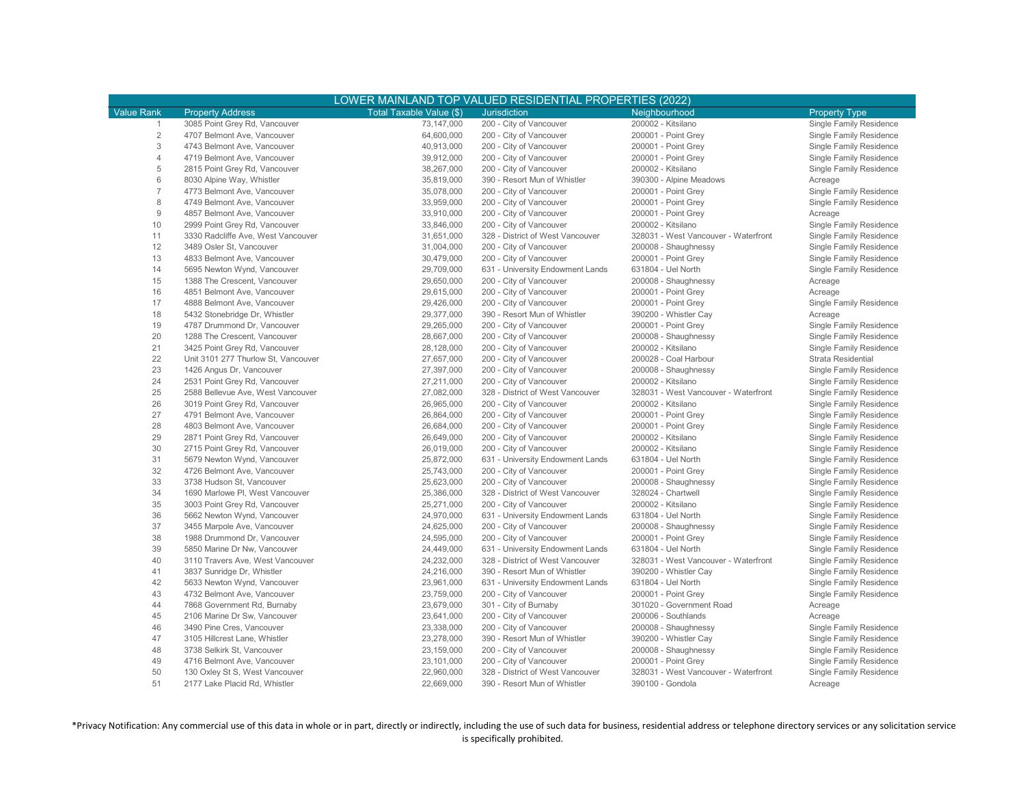| LOWER MAINLAND TOP VALUED RESIDENTIAL PROPERTIES (2022) |                                                              |                          |                                  |                                            |                         |  |  |  |  |  |
|---------------------------------------------------------|--------------------------------------------------------------|--------------------------|----------------------------------|--------------------------------------------|-------------------------|--|--|--|--|--|
| <b>Value Rank</b>                                       | <b>Property Address</b>                                      | Total Taxable Value (\$) | <b>Jurisdiction</b>              | Neighbourhood                              | <b>Property Type</b>    |  |  |  |  |  |
| $\mathbf{1}$                                            | 3085 Point Grey Rd, Vancouver                                | 73,147,000               | 200 - City of Vancouver          | 200002 - Kitsilano                         | Single Family Residence |  |  |  |  |  |
| $\overline{2}$                                          | 4707 Belmont Ave, Vancouver                                  | 64,600,000               | 200 - City of Vancouver          | 200001 - Point Grey                        | Single Family Residence |  |  |  |  |  |
| 3                                                       | 4743 Belmont Ave, Vancouver                                  | 40,913,000               | 200 - City of Vancouver          | 200001 - Point Grey                        | Single Family Residence |  |  |  |  |  |
| $\overline{4}$                                          | 4719 Belmont Ave, Vancouver                                  | 39,912,000               | 200 - City of Vancouver          | 200001 - Point Grey                        | Single Family Residence |  |  |  |  |  |
| 5                                                       | 2815 Point Grey Rd, Vancouver                                | 38,267,000               | 200 - City of Vancouver          | 200002 - Kitsilano                         | Single Family Residence |  |  |  |  |  |
| $6\,$                                                   | 8030 Alpine Way, Whistler                                    | 35,819,000               | 390 - Resort Mun of Whistler     | 390300 - Alpine Meadows                    | Acreage                 |  |  |  |  |  |
| $\overline{7}$                                          | 4773 Belmont Ave, Vancouver                                  | 35,078,000               | 200 - City of Vancouver          | 200001 - Point Grey                        | Single Family Residence |  |  |  |  |  |
| 8                                                       | 4749 Belmont Ave, Vancouver                                  | 33,959,000               | 200 - City of Vancouver          | 200001 - Point Grey                        | Single Family Residence |  |  |  |  |  |
| $\hbox{9}$                                              | 4857 Belmont Ave, Vancouver                                  | 33,910,000               | 200 - City of Vancouver          | 200001 - Point Grey                        | Acreage                 |  |  |  |  |  |
| 10                                                      | 2999 Point Grey Rd, Vancouver                                | 33,846,000               | 200 - City of Vancouver          | 200002 - Kitsilano                         | Single Family Residence |  |  |  |  |  |
| 11                                                      | 3330 Radcliffe Ave, West Vancouver                           | 31,651,000               | 328 - District of West Vancouver | 328031 - West Vancouver - Waterfront       | Single Family Residence |  |  |  |  |  |
| 12                                                      | 3489 Osler St, Vancouver                                     | 31,004,000               | 200 - City of Vancouver          | 200008 - Shaughnessy                       | Single Family Residence |  |  |  |  |  |
| 13                                                      | 4833 Belmont Ave, Vancouver                                  | 30,479,000               | 200 - City of Vancouver          | 200001 - Point Grey                        | Single Family Residence |  |  |  |  |  |
| 14                                                      | 5695 Newton Wynd, Vancouver                                  | 29,709,000               | 631 - University Endowment Lands | 631804 - Uel North                         | Single Family Residence |  |  |  |  |  |
| 15                                                      | 1388 The Crescent, Vancouver                                 | 29,650,000               | 200 - City of Vancouver          | 200008 - Shaughnessy                       | Acreage                 |  |  |  |  |  |
| 16                                                      | 4851 Belmont Ave, Vancouver                                  | 29,615,000               | 200 - City of Vancouver          | 200001 - Point Grey                        | Acreage                 |  |  |  |  |  |
| 17                                                      | 4888 Belmont Ave, Vancouver                                  | 29,426,000               | 200 - City of Vancouver          | 200001 - Point Grey                        | Single Family Residence |  |  |  |  |  |
| 18                                                      |                                                              | 29,377,000               | 390 - Resort Mun of Whistler     | 390200 - Whistler Cay                      |                         |  |  |  |  |  |
| 19                                                      | 5432 Stonebridge Dr, Whistler<br>4787 Drummond Dr, Vancouver | 29,265,000               | 200 - City of Vancouver          | 200001 - Point Grey                        | Acreage                 |  |  |  |  |  |
| 20                                                      |                                                              |                          |                                  |                                            | Single Family Residence |  |  |  |  |  |
|                                                         | 1288 The Crescent, Vancouver                                 | 28,667,000               | 200 - City of Vancouver          | 200008 - Shaughnessy<br>200002 - Kitsilano | Single Family Residence |  |  |  |  |  |
| 21                                                      | 3425 Point Grey Rd, Vancouver                                | 28,128,000               | 200 - City of Vancouver          |                                            | Single Family Residence |  |  |  |  |  |
| 22                                                      | Unit 3101 277 Thurlow St, Vancouver                          | 27,657,000               | 200 - City of Vancouver          | 200028 - Coal Harbour                      | Strata Residential      |  |  |  |  |  |
| 23                                                      | 1426 Angus Dr, Vancouver                                     | 27,397,000               | 200 - City of Vancouver          | 200008 - Shaughnessy                       | Single Family Residence |  |  |  |  |  |
| 24                                                      | 2531 Point Grey Rd, Vancouver                                | 27,211,000               | 200 - City of Vancouver          | 200002 - Kitsilano                         | Single Family Residence |  |  |  |  |  |
| 25                                                      | 2588 Bellevue Ave, West Vancouver                            | 27,082,000               | 328 - District of West Vancouver | 328031 - West Vancouver - Waterfront       | Single Family Residence |  |  |  |  |  |
| 26                                                      | 3019 Point Grey Rd, Vancouver                                | 26,965,000               | 200 - City of Vancouver          | 200002 - Kitsilano                         | Single Family Residence |  |  |  |  |  |
| 27                                                      | 4791 Belmont Ave, Vancouver                                  | 26,864,000               | 200 - City of Vancouver          | 200001 - Point Grey                        | Single Family Residence |  |  |  |  |  |
| 28                                                      | 4803 Belmont Ave, Vancouver                                  | 26,684,000               | 200 - City of Vancouver          | 200001 - Point Grey                        | Single Family Residence |  |  |  |  |  |
| 29                                                      | 2871 Point Grey Rd, Vancouver                                | 26,649,000               | 200 - City of Vancouver          | 200002 - Kitsilano                         | Single Family Residence |  |  |  |  |  |
| 30                                                      | 2715 Point Grey Rd, Vancouver                                | 26,019,000               | 200 - City of Vancouver          | 200002 - Kitsilano                         | Single Family Residence |  |  |  |  |  |
| 31                                                      | 5679 Newton Wynd, Vancouver                                  | 25,872,000               | 631 - University Endowment Lands | 631804 - Uel North                         | Single Family Residence |  |  |  |  |  |
| 32                                                      | 4726 Belmont Ave, Vancouver                                  | 25,743,000               | 200 - City of Vancouver          | 200001 - Point Grey                        | Single Family Residence |  |  |  |  |  |
| 33                                                      | 3738 Hudson St, Vancouver                                    | 25,623,000               | 200 - City of Vancouver          | 200008 - Shaughnessy                       | Single Family Residence |  |  |  |  |  |
| 34                                                      | 1690 Marlowe PI, West Vancouver                              | 25,386,000               | 328 - District of West Vancouver | 328024 - Chartwell                         | Single Family Residence |  |  |  |  |  |
| 35                                                      | 3003 Point Grey Rd, Vancouver                                | 25,271,000               | 200 - City of Vancouver          | 200002 - Kitsilano                         | Single Family Residence |  |  |  |  |  |
| 36                                                      | 5662 Newton Wynd, Vancouver                                  | 24,970,000               | 631 - University Endowment Lands | 631804 - Uel North                         | Single Family Residence |  |  |  |  |  |
| 37                                                      | 3455 Marpole Ave, Vancouver                                  | 24,625,000               | 200 - City of Vancouver          | 200008 - Shaughnessy                       | Single Family Residence |  |  |  |  |  |
| 38                                                      | 1988 Drummond Dr, Vancouver                                  | 24,595,000               | 200 - City of Vancouver          | 200001 - Point Grey                        | Single Family Residence |  |  |  |  |  |
| 39                                                      | 5850 Marine Dr Nw, Vancouver                                 | 24,449,000               | 631 - University Endowment Lands | 631804 - Uel North                         | Single Family Residence |  |  |  |  |  |
| 40                                                      | 3110 Travers Ave, West Vancouver                             | 24,232,000               | 328 - District of West Vancouver | 328031 - West Vancouver - Waterfront       | Single Family Residence |  |  |  |  |  |
| 41                                                      | 3837 Sunridge Dr, Whistler                                   | 24,216,000               | 390 - Resort Mun of Whistler     | 390200 - Whistler Cay                      | Single Family Residence |  |  |  |  |  |
| 42                                                      | 5633 Newton Wynd, Vancouver                                  | 23,961,000               | 631 - University Endowment Lands | 631804 - Uel North                         | Single Family Residence |  |  |  |  |  |
| 43                                                      | 4732 Belmont Ave, Vancouver                                  | 23,759,000               | 200 - City of Vancouver          | 200001 - Point Grey                        | Single Family Residence |  |  |  |  |  |
| 44                                                      | 7868 Government Rd, Burnaby                                  | 23,679,000               | 301 - City of Burnaby            | 301020 - Government Road                   | Acreage                 |  |  |  |  |  |
| 45                                                      | 2106 Marine Dr Sw, Vancouver                                 | 23,641,000               | 200 - City of Vancouver          | 200006 - Southlands                        | Acreage                 |  |  |  |  |  |
| 46                                                      | 3490 Pine Cres, Vancouver                                    | 23,338,000               | 200 - City of Vancouver          | 200008 - Shaughnessy                       | Single Family Residence |  |  |  |  |  |
| 47                                                      | 3105 Hillcrest Lane, Whistler                                | 23,278,000               | 390 - Resort Mun of Whistler     | 390200 - Whistler Cay                      | Single Family Residence |  |  |  |  |  |
| 48                                                      | 3738 Selkirk St, Vancouver                                   | 23,159,000               | 200 - City of Vancouver          | 200008 - Shaughnessy                       | Single Family Residence |  |  |  |  |  |
| 49                                                      | 4716 Belmont Ave, Vancouver                                  | 23,101,000               | 200 - City of Vancouver          | 200001 - Point Grey                        | Single Family Residence |  |  |  |  |  |
| 50                                                      | 130 Oxley St S, West Vancouver                               | 22,960,000               | 328 - District of West Vancouver | 328031 - West Vancouver - Waterfront       | Single Family Residence |  |  |  |  |  |
| 51                                                      | 2177 Lake Placid Rd, Whistler                                | 22.669.000               | 390 - Resort Mun of Whistler     | 390100 - Gondola                           | Acreage                 |  |  |  |  |  |

\*Privacy Notification: Any commercial use of this data in whole or in part, directly or indirectly, including the use of such data for business, residential address or telephone directory services or any solicitation service is specifically prohibited.